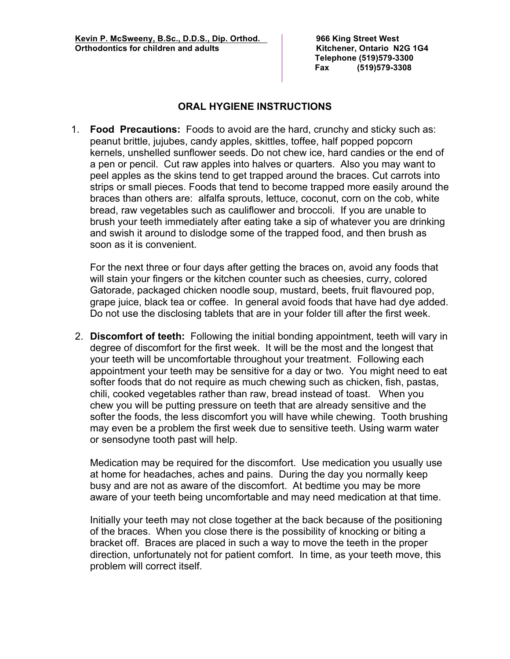**Telephone (519)579-3300 Fax (519)579-3308**

## **ORAL HYGIENE INSTRUCTIONS**

 1. **Food Precautions:** Foods to avoid are the hard, crunchy and sticky such as: peanut brittle, jujubes, candy apples, skittles, toffee, half popped popcorn kernels, unshelled sunflower seeds. Do not chew ice, hard candies or the end of a pen or pencil. Cut raw apples into halves or quarters. Also you may want to peel apples as the skins tend to get trapped around the braces. Cut carrots into strips or small pieces. Foods that tend to become trapped more easily around the braces than others are: alfalfa sprouts, lettuce, coconut, corn on the cob, white bread, raw vegetables such as cauliflower and broccoli. If you are unable to brush your teeth immediately after eating take a sip of whatever you are drinking and swish it around to dislodge some of the trapped food, and then brush as soon as it is convenient.

For the next three or four days after getting the braces on, avoid any foods that will stain your fingers or the kitchen counter such as cheesies, curry, colored Gatorade, packaged chicken noodle soup, mustard, beets, fruit flavoured pop, grape juice, black tea or coffee. In general avoid foods that have had dye added. Do not use the disclosing tablets that are in your folder till after the first week.

2. **Discomfort of teeth:** Following the initial bonding appointment, teeth will vary in degree of discomfort for the first week. It will be the most and the longest that your teeth will be uncomfortable throughout your treatment. Following each appointment your teeth may be sensitive for a day or two. You might need to eat softer foods that do not require as much chewing such as chicken, fish, pastas, chili, cooked vegetables rather than raw, bread instead of toast. When you chew you will be putting pressure on teeth that are already sensitive and the softer the foods, the less discomfort you will have while chewing. Tooth brushing may even be a problem the first week due to sensitive teeth. Using warm water or sensodyne tooth past will help.

Medication may be required for the discomfort. Use medication you usually use at home for headaches, aches and pains. During the day you normally keep busy and are not as aware of the discomfort. At bedtime you may be more aware of your teeth being uncomfortable and may need medication at that time.

Initially your teeth may not close together at the back because of the positioning of the braces. When you close there is the possibility of knocking or biting a bracket off. Braces are placed in such a way to move the teeth in the proper direction, unfortunately not for patient comfort. In time, as your teeth move, this problem will correct itself.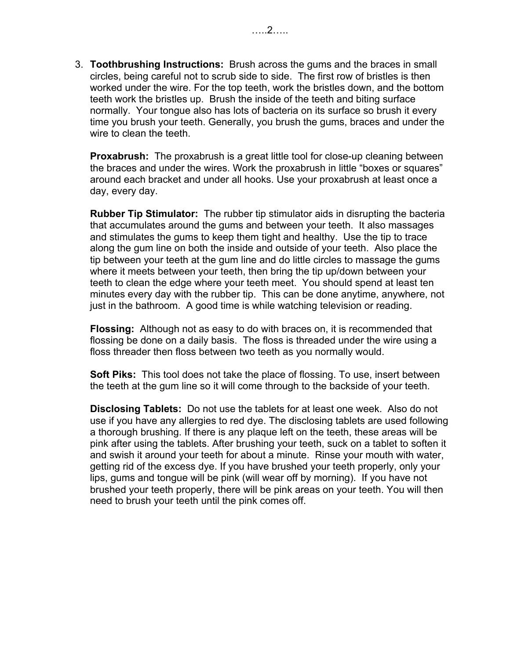3. **Toothbrushing Instructions:** Brush across the gums and the braces in small circles, being careful not to scrub side to side. The first row of bristles is then worked under the wire. For the top teeth, work the bristles down, and the bottom teeth work the bristles up. Brush the inside of the teeth and biting surface normally. Your tongue also has lots of bacteria on its surface so brush it every time you brush your teeth. Generally, you brush the gums, braces and under the wire to clean the teeth.

**Proxabrush:** The proxabrush is a great little tool for close-up cleaning between the braces and under the wires. Work the proxabrush in little "boxes or squares" around each bracket and under all hooks. Use your proxabrush at least once a day, every day.

**Rubber Tip Stimulator:** The rubber tip stimulator aids in disrupting the bacteria that accumulates around the gums and between your teeth. It also massages and stimulates the gums to keep them tight and healthy. Use the tip to trace along the gum line on both the inside and outside of your teeth. Also place the tip between your teeth at the gum line and do little circles to massage the gums where it meets between your teeth, then bring the tip up/down between your teeth to clean the edge where your teeth meet. You should spend at least ten minutes every day with the rubber tip. This can be done anytime, anywhere, not just in the bathroom. A good time is while watching television or reading.

**Flossing:** Although not as easy to do with braces on, it is recommended that flossing be done on a daily basis. The floss is threaded under the wire using a floss threader then floss between two teeth as you normally would.

**Soft Piks:** This tool does not take the place of flossing. To use, insert between the teeth at the gum line so it will come through to the backside of your teeth.

**Disclosing Tablets:** Do not use the tablets for at least one week. Also do not use if you have any allergies to red dye. The disclosing tablets are used following a thorough brushing. If there is any plaque left on the teeth, these areas will be pink after using the tablets. After brushing your teeth, suck on a tablet to soften it and swish it around your teeth for about a minute. Rinse your mouth with water, getting rid of the excess dye. If you have brushed your teeth properly, only your lips, gums and tongue will be pink (will wear off by morning). If you have not brushed your teeth properly, there will be pink areas on your teeth. You will then need to brush your teeth until the pink comes off.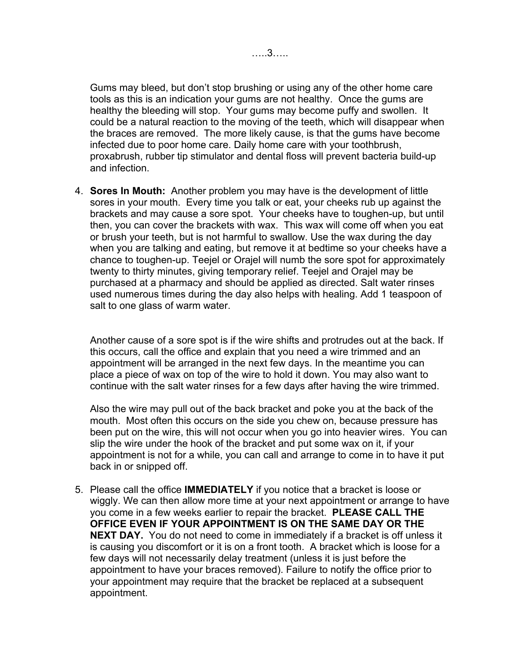Gums may bleed, but don't stop brushing or using any of the other home care tools as this is an indication your gums are not healthy. Once the gums are healthy the bleeding will stop. Your gums may become puffy and swollen. It could be a natural reaction to the moving of the teeth, which will disappear when the braces are removed. The more likely cause, is that the gums have become infected due to poor home care. Daily home care with your toothbrush, proxabrush, rubber tip stimulator and dental floss will prevent bacteria build-up and infection.

4. **Sores In Mouth:** Another problem you may have is the development of little sores in your mouth. Every time you talk or eat, your cheeks rub up against the brackets and may cause a sore spot. Your cheeks have to toughen-up, but until then, you can cover the brackets with wax. This wax will come off when you eat or brush your teeth, but is not harmful to swallow. Use the wax during the day when you are talking and eating, but remove it at bedtime so your cheeks have a chance to toughen-up. Teejel or Orajel will numb the sore spot for approximately twenty to thirty minutes, giving temporary relief. Teejel and Orajel may be purchased at a pharmacy and should be applied as directed. Salt water rinses used numerous times during the day also helps with healing. Add 1 teaspoon of salt to one glass of warm water.

Another cause of a sore spot is if the wire shifts and protrudes out at the back. If this occurs, call the office and explain that you need a wire trimmed and an appointment will be arranged in the next few days. In the meantime you can place a piece of wax on top of the wire to hold it down. You may also want to continue with the salt water rinses for a few days after having the wire trimmed.

Also the wire may pull out of the back bracket and poke you at the back of the mouth. Most often this occurs on the side you chew on, because pressure has been put on the wire, this will not occur when you go into heavier wires. You can slip the wire under the hook of the bracket and put some wax on it, if your appointment is not for a while, you can call and arrange to come in to have it put back in or snipped off.

5. Please call the office **IMMEDIATELY** if you notice that a bracket is loose or wiggly. We can then allow more time at your next appointment or arrange to have you come in a few weeks earlier to repair the bracket. **PLEASE CALL THE OFFICE EVEN IF YOUR APPOINTMENT IS ON THE SAME DAY OR THE NEXT DAY.** You do not need to come in immediately if a bracket is off unless it is causing you discomfort or it is on a front tooth. A bracket which is loose for a few days will not necessarily delay treatment (unless it is just before the appointment to have your braces removed). Failure to notify the office prior to your appointment may require that the bracket be replaced at a subsequent appointment.